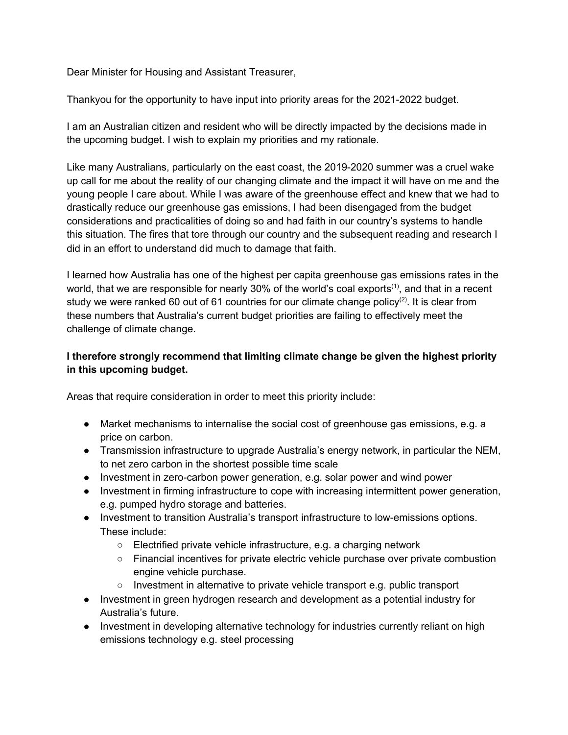Dear Minister for Housing and Assistant Treasurer,

Thankyou for the opportunity to have input into priority areas for the 2021-2022 budget.

I am an Australian citizen and resident who will be directly impacted by the decisions made in the upcoming budget. I wish to explain my priorities and my rationale.

Like many Australians, particularly on the east coast, the 2019-2020 summer was a cruel wake up call for me about the reality of our changing climate and the impact it will have on me and the young people I care about. While I was aware of the greenhouse effect and knew that we had to drastically reduce our greenhouse gas emissions, I had been disengaged from the budget considerations and practicalities of doing so and had faith in our country's systems to handle this situation. The fires that tore through our country and the subsequent reading and research I did in an effort to understand did much to damage that faith.

I learned how Australia has one of the highest per capita greenhouse gas emissions rates in the world, that we are responsible for nearly 30% of the world's coal exports<sup>(1)</sup>, and that in a recent study we were ranked 60 out of 61 countries for our climate change policy<sup>(2)</sup>. It is clear from these numbers that Australia's current budget priorities are failing to effectively meet the challenge of climate change.

## **I therefore strongly recommend that limiting climate change be given the highest priority in this upcoming budget.**

Areas that require consideration in order to meet this priority include:

- Market mechanisms to internalise the social cost of greenhouse gas emissions, e.g. a price on carbon.
- Transmission infrastructure to upgrade Australia's energy network, in particular the NEM, to net zero carbon in the shortest possible time scale
- Investment in zero-carbon power generation, e.g. solar power and wind power
- Investment in firming infrastructure to cope with increasing intermittent power generation, e.g. pumped hydro storage and batteries.
- Investment to transition Australia's transport infrastructure to low-emissions options. These include:
	- Electrified private vehicle infrastructure, e.g. a charging network
	- Financial incentives for private electric vehicle purchase over private combustion engine vehicle purchase.
	- Investment in alternative to private vehicle transport e.g. public transport
- Investment in green hydrogen research and development as a potential industry for Australia's future.
- Investment in developing alternative technology for industries currently reliant on high emissions technology e.g. steel processing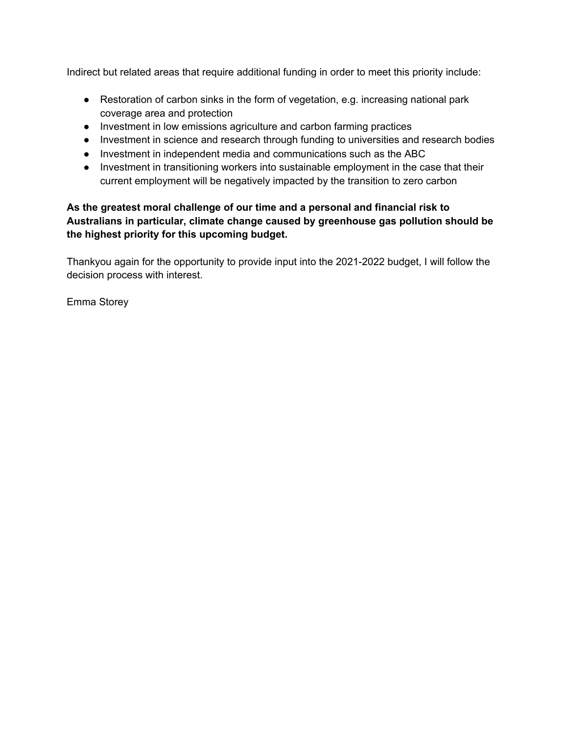Indirect but related areas that require additional funding in order to meet this priority include:

- Restoration of carbon sinks in the form of vegetation, e.g. increasing national park coverage area and protection
- Investment in low emissions agriculture and carbon farming practices
- Investment in science and research through funding to universities and research bodies
- Investment in independent media and communications such as the ABC
- Investment in transitioning workers into sustainable employment in the case that their current employment will be negatively impacted by the transition to zero carbon

## **As the greatest moral challenge of our time and a personal and financial risk to Australians in particular, climate change caused by greenhouse gas pollution should be the highest priority for this upcoming budget.**

Thankyou again for the opportunity to provide input into the 2021-2022 budget, I will follow the decision process with interest.

Emma Storey